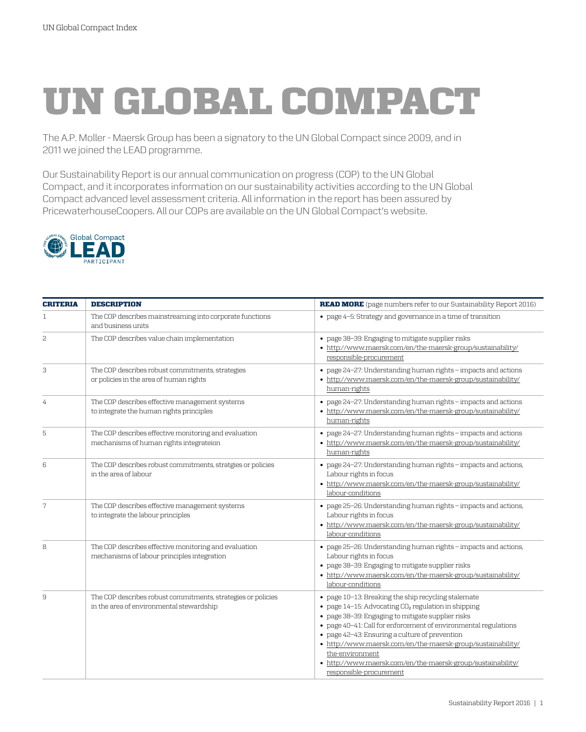## UN GLOBAL COMPACT

The A.P. Moller - Maersk Group has been a signatory to the UN Global Compact since 2009, and in 2011 we joined the LEAD programme.

Our Sustainability Report is our annual communication on progress (COP) to the UN Global Compact, and it incorporates information on our sustainability activities according to the UN Global Compact advanced level assessment criteria. All information in the report has been assured by PricewaterhouseCoopers. All our COPs are available on the UN Global Compact's website.



| <b>CRITERIA</b> | <b>DESCRIPTION</b>                                                                                       | READ MORE (page numbers refer to our Sustainability Report 2016)                                                                                                                                                                                                                                                                                                                                                                                                                     |
|-----------------|----------------------------------------------------------------------------------------------------------|--------------------------------------------------------------------------------------------------------------------------------------------------------------------------------------------------------------------------------------------------------------------------------------------------------------------------------------------------------------------------------------------------------------------------------------------------------------------------------------|
| 1               | The COP describes mainstreaming into corporate functions<br>and business units                           | • page 4-5: Strategy and governance in a time of transition                                                                                                                                                                                                                                                                                                                                                                                                                          |
| 2               | The COP describes value chain implementation                                                             | • page 38-39: Engaging to mitigate supplier risks<br>• http://www.maersk.com/en/the-maersk-group/sustainability/<br>responsible-procurement                                                                                                                                                                                                                                                                                                                                          |
| З               | The COP describes robust commitments, strategies<br>or policies in the area of human rights              | • page 24-27: Understanding human rights - impacts and actions<br>• http://www.maersk.com/en/the-maersk-group/sustainability/<br>human-rights                                                                                                                                                                                                                                                                                                                                        |
| 4               | The COP describes effective management systems<br>to integrate the human rights principles               | • page 24-27: Understanding human rights - impacts and actions<br>• http://www.maersk.com/en/the-maersk-group/sustainability/<br>human-rights                                                                                                                                                                                                                                                                                                                                        |
| 5               | The COP describes effective monitoring and evaluation<br>mechanisms of human rights integrateion         | • page 24-27: Understanding human rights - impacts and actions<br>• http://www.maersk.com/en/the-maersk-group/sustainability/<br>human-rights                                                                                                                                                                                                                                                                                                                                        |
| 6               | The COP describes robust commitments, stratgies or policies<br>in the area of labour                     | • page 24-27: Understanding human rights - impacts and actions,<br>Labour rights in focus<br>• http://www.maersk.com/en/the-maersk-group/sustainability/<br>labour-conditions                                                                                                                                                                                                                                                                                                        |
| 7               | The COP describes effective management systems<br>to integrate the labour principles                     | • page 25-26: Understanding human rights - impacts and actions,<br>Labour rights in focus<br>• http://www.maersk.com/en/the-maersk-group/sustainability/<br>labour-conditions                                                                                                                                                                                                                                                                                                        |
| 8               | The COP describes effective monitoring and evaluation<br>mechanisms of labour principles integration     | • page 25-26: Understanding human rights - impacts and actions,<br>Labour rights in focus<br>· page 38-39: Engaging to mitigate supplier risks<br>• http://www.maersk.com/en/the-maersk-group/sustainability/<br>labour-conditions                                                                                                                                                                                                                                                   |
| 9               | The COP describes robust commitments, strategies or policies<br>in the area of environmental stewardship | • page 10-13: Breaking the ship recycling stalemate<br>$\bullet$ page 14-15: Advocating CO <sub>2</sub> regulation in shipping<br>· page 38-39: Engaging to mitigate supplier risks<br>• page 40-41: Call for enforcement of environmental regulations<br>• page 42-43: Ensuring a culture of prevention<br>• http://www.maersk.com/en/the-maersk-group/sustainability/<br>the-environment<br>• http://www.maersk.com/en/the-maersk-group/sustainability/<br>responsible-procurement |